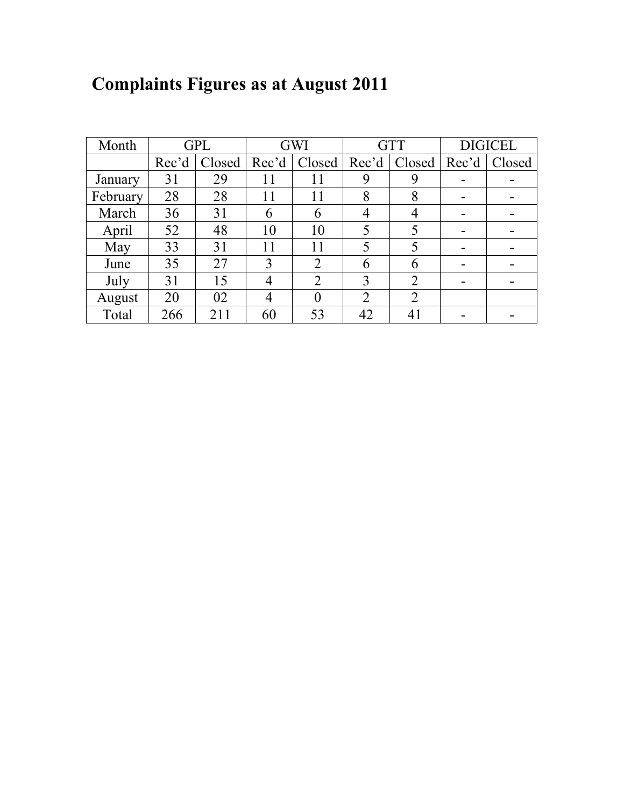|  |  | <b>Complaints Figures as at August 2011</b> |
|--|--|---------------------------------------------|
|--|--|---------------------------------------------|

| Month    | <b>GPL</b> |        |       | <b>GWI</b>     |                | <b>GTT</b>     | <b>DIGICEL</b> |        |  |
|----------|------------|--------|-------|----------------|----------------|----------------|----------------|--------|--|
|          | Rec'd      | Closed | Rec'd | Closed         | Rec'd          | Closed   Rec'd |                | Closed |  |
| January  | 31         | 29     | 11    | 11             | 9              | 9              | -              |        |  |
| February | 28         | 28     | 11    | 11             | 8              | 8              | -              |        |  |
| March    | 36         | 31     | 6     | 6              | 4              | 4              | -              |        |  |
| April    | 52         | 48     | 10    | 10             | 5              | 5              | -              |        |  |
| May      | 33         | 31     | 11    | 11             | 5              | 5              | -              |        |  |
| June     | 35         | 27     | 3     | $\overline{2}$ | 6              | 6              |                |        |  |
| July     | 31         | 15     | 4     | $\overline{2}$ | 3              | $\overline{2}$ |                |        |  |
| August   | 20         | 02     | 4     | $\theta$       | $\overline{2}$ | $\overline{2}$ |                |        |  |
| Total    | 266        | 211    | 60    | 53             | 42             | 41             |                |        |  |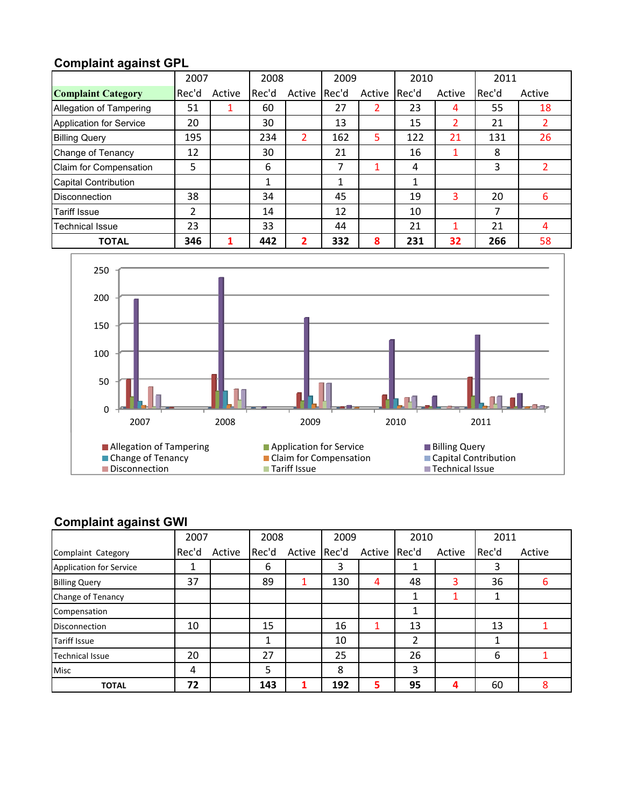## **Complaint against GPL**

|                                | 2007  |        | 2008  |        | 2009  |        | 2010  |                | 2011  |        |
|--------------------------------|-------|--------|-------|--------|-------|--------|-------|----------------|-------|--------|
| <b>Complaint Category</b>      | Rec'd | Active | Rec'd | Active | Rec'd | Active | Rec'd | Active         | Rec'd | Active |
| Allegation of Tampering        | 51    |        | 60    |        | 27    |        | 23    | 4              | 55    | 18     |
| <b>Application for Service</b> | 20    |        | 30    |        | 13    |        | 15    | $\overline{2}$ | 21    |        |
| <b>Billing Query</b>           | 195   |        | 234   | 2      | 162   | 5      | 122   | 21             | 131   | 26     |
| Change of Tenancy              | 12    |        | 30    |        | 21    |        | 16    |                | 8     |        |
| Claim for Compensation         | 5     |        | 6     |        | 7     |        | 4     |                | 3     | 2      |
| <b>Capital Contribution</b>    |       |        | 1     |        | 1     |        | 1     |                |       |        |
| <b>Disconnection</b>           | 38    |        | 34    |        | 45    |        | 19    | 3              | 20    | 6      |
| <b>Tariff Issue</b>            | 2     |        | 14    |        | 12    |        | 10    |                | 7     |        |
| <b>Technical Issue</b>         | 23    |        | 33    |        | 44    |        | 21    |                | 21    | 4      |
| <b>TOTAL</b>                   | 346   |        | 442   | 2      | 332   | 8      | 231   | 32             | 266   | 58     |



## **Complaint against GWI**

|                                | 2007  |        | 2008  | 2009   |       | 2010         |    | 2011   |       |        |
|--------------------------------|-------|--------|-------|--------|-------|--------------|----|--------|-------|--------|
| Complaint Category             | Rec'd | Active | Rec'd | Active | Rec'd | Active Rec'd |    | Active | Rec'd | Active |
| <b>Application for Service</b> |       |        | 6     |        | 3     |              |    |        | 3     |        |
| <b>Billing Query</b>           | 37    |        | 89    | 1      | 130   | 4            | 48 | 3      | 36    | 6      |
| Change of Tenancy              |       |        |       |        |       |              |    |        |       |        |
| Compensation                   |       |        |       |        |       |              |    |        |       |        |
| <b>Disconnection</b>           | 10    |        | 15    |        | 16    |              | 13 |        | 13    |        |
| <b>Tariff Issue</b>            |       |        |       |        | 10    |              | 2  |        |       |        |
| <b>Technical Issue</b>         | 20    |        | 27    |        | 25    |              | 26 |        | 6     |        |
| <b>Misc</b>                    | 4     |        | 5     |        | 8     |              | 3  |        |       |        |
| <b>TOTAL</b>                   | 72    |        | 143   |        | 192   | 5            | 95 | Д      | 60    | 8      |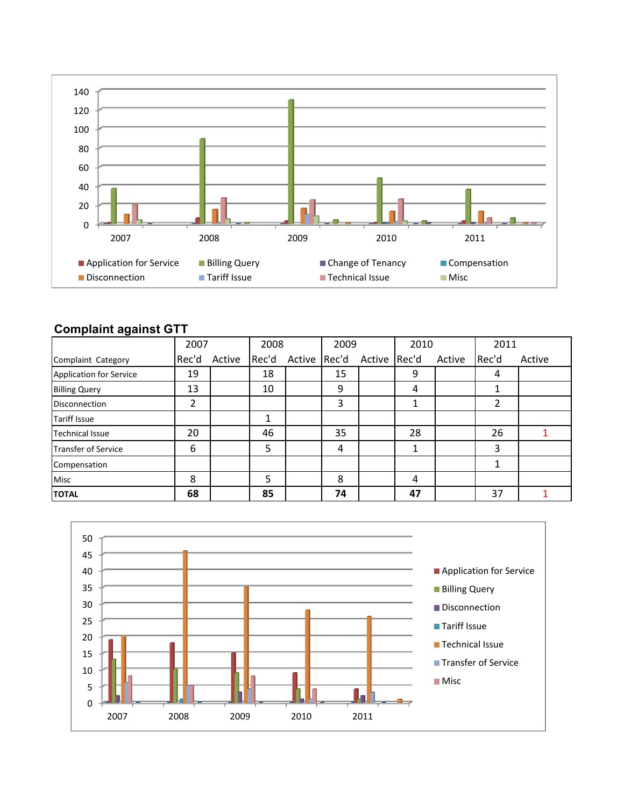

## **Complaint against GTT**

|                                | 2007  |        | 2008  |        | 2009  |              | 2010 |        | 2011  |        |
|--------------------------------|-------|--------|-------|--------|-------|--------------|------|--------|-------|--------|
| Complaint Category             | Rec'd | Active | Rec'd | Active | Rec'd | Active Rec'd |      | Active | Rec'd | Active |
| <b>Application for Service</b> | 19    |        | 18    |        | 15    |              | 9    |        | 4     |        |
| <b>Billing Query</b>           | 13    |        | 10    |        | 9     |              | 4    |        | 1     |        |
| <b>Disconnection</b>           | 2     |        |       |        | 3     |              |      |        | 2     |        |
| <b>Tariff Issue</b>            |       |        | 1     |        |       |              |      |        |       |        |
| <b>Technical Issue</b>         | 20    |        | 46    |        | 35    |              | 28   |        | 26    |        |
| Transfer of Service            | 6     |        | 5     |        | 4     |              | 1    |        | 3     |        |
| Compensation                   |       |        |       |        |       |              |      |        | 1     |        |
| Misc                           | 8     |        | 5     |        | 8     |              | 4    |        |       |        |
| <b>TOTAL</b>                   | 68    |        | 85    |        | 74    |              | 47   |        | 37    |        |